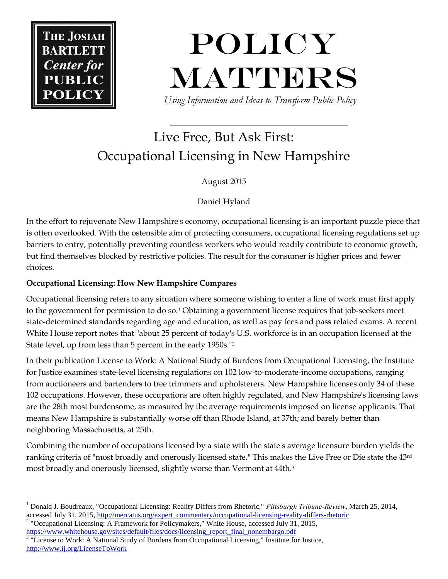**THE JOSIA** 



 *Using Information and Ideas to Transform Public Policy*

# Live Free, But Ask First: Occupational Licensing in New Hampshire

August 2015

Daniel Hyland

In the effort to rejuvenate New Hampshire's economy, occupational licensing is an important puzzle piece that is often overlooked. With the ostensible aim of protecting consumers, occupational licensing regulations set up barriers to entry, potentially preventing countless workers who would readily contribute to economic growth, but find themselves blocked by restrictive policies. The result for the consumer is higher prices and fewer choices.

## **Occupational Licensing: How New Hampshire Compares**

Occupational licensing refers to any situation where someone wishing to enter a line of work must first apply to the government for permission to do so.<sup>1</sup> Obtaining a government license requires that job-seekers meet state-determined standards regarding age and education, as well as pay fees and pass related exams. A recent White House report notes that "about 25 percent of today's U.S. workforce is in an occupation licensed at the State level, up from less than 5 percent in the early 1950s."<sup>2</sup>

In their publication License to Work: A National Study of Burdens from Occupational Licensing, the Institute for Justice examines state-level licensing regulations on 102 low-to-moderate-income occupations, ranging from auctioneers and bartenders to tree trimmers and upholsterers. New Hampshire licenses only 34 of these 102 occupations. However, these occupations are often highly regulated, and New Hampshire's licensing laws are the 28th most burdensome, as measured by the average requirements imposed on license applicants. That means New Hampshire is substantially worse off than Rhode Island, at 37th; and barely better than neighboring Massachusetts, at 25th.

Combining the number of occupations licensed by a state with the state's average licensure burden yields the ranking criteria of "most broadly and onerously licensed state." This makes the Live Free or Die state the 43rd most broadly and onerously licensed, slightly worse than Vermont at 44th.<sup>3</sup>

 $\overline{a}$ <sup>1</sup> Donald J. Boudreaux, "Occupational Licensing: Reality Differs from Rhetoric," *Pittsburgh Tribune-Review*, March 25, 2014, accessed July 31, 2015[, http://mercatus.org/expert\\_commentary/occupational-licensing-reality-differs-rhetoric](http://mercatus.org/expert_commentary/occupational-licensing-reality-differs-rhetoric)

<sup>&</sup>lt;sup>2</sup> "Occupational Licensing: A Framework for Policymakers," White House, accessed July 31, 2015, [https://www.whitehouse.gov/sites/default/files/docs/licensing\\_report\\_final\\_nonembargo.pdf](https://www.whitehouse.gov/sites/default/files/docs/licensing_report_final_nonembargo.pdf)

<sup>&</sup>lt;sup>3</sup> "License to Work: A National Study of Burdens from Occupational Licensing," Institute for Justice, <http://www.ij.org/LicenseToWork>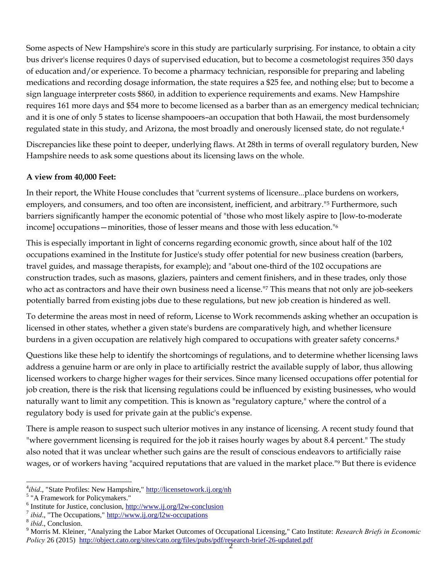Some aspects of New Hampshire's score in this study are particularly surprising. For instance, to obtain a city bus driver's license requires 0 days of supervised education, but to become a cosmetologist requires 350 days of education and/or experience. To become a pharmacy technician, responsible for preparing and labeling medications and recording dosage information, the state requires a \$25 fee, and nothing else; but to become a sign language interpreter costs \$860, in addition to experience requirements and exams. New Hampshire requires 161 more days and \$54 more to become licensed as a barber than as an emergency medical technician; and it is one of only 5 states to license shampooers–an occupation that both Hawaii, the most burdensomely regulated state in this study, and Arizona, the most broadly and onerously licensed state, do not regulate.<sup>4</sup>

Discrepancies like these point to deeper, underlying flaws. At 28th in terms of overall regulatory burden, New Hampshire needs to ask some questions about its licensing laws on the whole.

### **A view from 40,000 Feet:**

In their report, the White House concludes that "current systems of licensure...place burdens on workers, employers, and consumers, and too often are inconsistent, inefficient, and arbitrary."<sup>5</sup> Furthermore, such barriers significantly hamper the economic potential of "those who most likely aspire to [low-to-moderate income] occupations—minorities, those of lesser means and those with less education."<sup>6</sup>

This is especially important in light of concerns regarding economic growth, since about half of the 102 occupations examined in the Institute for Justice's study offer potential for new business creation (barbers, travel guides, and massage therapists, for example); and "about one-third of the 102 occupations are construction trades, such as masons, glaziers, painters and cement finishers, and in these trades, only those who act as contractors and have their own business need a license."<sup>7</sup> This means that not only are job-seekers potentially barred from existing jobs due to these regulations, but new job creation is hindered as well.

To determine the areas most in need of reform, License to Work recommends asking whether an occupation is licensed in other states, whether a given state's burdens are comparatively high, and whether licensure burdens in a given occupation are relatively high compared to occupations with greater safety concerns.<sup>8</sup>

Questions like these help to identify the shortcomings of regulations, and to determine whether licensing laws address a genuine harm or are only in place to artificially restrict the available supply of labor, thus allowing licensed workers to charge higher wages for their services. Since many licensed occupations offer potential for job creation, there is the risk that licensing regulations could be influenced by existing businesses, who would naturally want to limit any competition. This is known as "regulatory capture," where the control of a regulatory body is used for private gain at the public's expense.

There is ample reason to suspect such ulterior motives in any instance of licensing. A recent study found that "where government licensing is required for the job it raises hourly wages by about 8.4 percent." The study also noted that it was unclear whether such gains are the result of conscious endeavors to artificially raise wages, or of workers having "acquired reputations that are valued in the market place."<sup>9</sup> But there is evidence

 $\overline{a}$ 

<sup>4</sup> *ibid*., "State Profiles: New Hampshire,"<http://licensetowork.ij.org/nh>

<sup>&</sup>lt;sup>5</sup> "A Framework for Policymakers."

<sup>&</sup>lt;sup>6</sup> Institute for Justice, conclusion[, http://www.ij.org/l2w-conclusion](http://www.ij.org/l2w-conclusion)

<sup>7</sup> *ibid*., "The Occupations,"<http://www.ij.org/l2w-occupations>

<sup>8</sup> *ibid*., Conclusion.

<sup>9</sup> Morris M. Kleiner, "Analyzing the Labor Market Outcomes of Occupational Licensing," Cato Institute: *Research Briefs in Economic Policy* 26 (2015) <http://object.cato.org/sites/cato.org/files/pubs/pdf/research-brief-26-updated.pdf>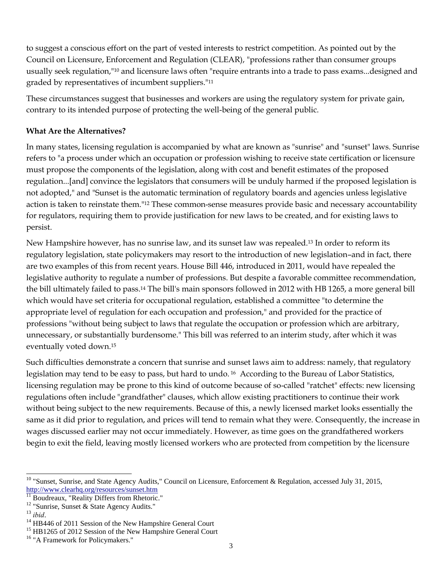to suggest a conscious effort on the part of vested interests to restrict competition. As pointed out by the Council on Licensure, Enforcement and Regulation (CLEAR), "professions rather than consumer groups usually seek regulation,"<sup>10</sup> and licensure laws often "require entrants into a trade to pass exams...designed and graded by representatives of incumbent suppliers."<sup>11</sup>

These circumstances suggest that businesses and workers are using the regulatory system for private gain, contrary to its intended purpose of protecting the well-being of the general public.

### **What Are the Alternatives?**

In many states, licensing regulation is accompanied by what are known as "sunrise" and "sunset" laws. Sunrise refers to "a process under which an occupation or profession wishing to receive state certification or licensure must propose the components of the legislation, along with cost and benefit estimates of the proposed regulation...[and] convince the legislators that consumers will be unduly harmed if the proposed legislation is not adopted," and "Sunset is the automatic termination of regulatory boards and agencies unless legislative action is taken to reinstate them."<sup>12</sup> These common-sense measures provide basic and necessary accountability for regulators, requiring them to provide justification for new laws to be created, and for existing laws to persist.

New Hampshire however, has no sunrise law, and its sunset law was repealed.<sup>13</sup> In order to reform its regulatory legislation, state policymakers may resort to the introduction of new legislation–and in fact, there are two examples of this from recent years. House Bill 446, introduced in 2011, would have repealed the legislative authority to regulate a number of professions. But despite a favorable committee recommendation, the bill ultimately failed to pass.<sup>14</sup> The bill's main sponsors followed in 2012 with HB 1265, a more general bill which would have set criteria for occupational regulation, established a committee "to determine the appropriate level of regulation for each occupation and profession," and provided for the practice of professions "without being subject to laws that regulate the occupation or profession which are arbitrary, unnecessary, or substantially burdensome." This bill was referred to an interim study, after which it was eventually voted down.<sup>15</sup>

Such difficulties demonstrate a concern that sunrise and sunset laws aim to address: namely, that regulatory legislation may tend to be easy to pass, but hard to undo. <sup>16</sup> According to the Bureau of Labor Statistics, licensing regulation may be prone to this kind of outcome because of so-called "ratchet" effects: new licensing regulations often include "grandfather" clauses, which allow existing practitioners to continue their work without being subject to the new requirements. Because of this, a newly licensed market looks essentially the same as it did prior to regulation, and prices will tend to remain what they were. Consequently, the increase in wages discussed earlier may not occur immediately. However, as time goes on the grandfathered workers begin to exit the field, leaving mostly licensed workers who are protected from competition by the licensure

l  $10$  "Sunset, Sunrise, and State Agency Audits," Council on Licensure, Enforcement & Regulation, accessed July 31, 2015, <http://www.clearhq.org/resources/sunset.htm>

 $\overline{11}$  Boudreaux, "Reality Differs from Rhetoric."

<sup>&</sup>lt;sup>12</sup> "Sunrise, Sunset & State Agency Audits."

<sup>13</sup> *ibid*.

<sup>&</sup>lt;sup>14</sup> HB446 of 2011 Session of the New Hampshire General Court

<sup>&</sup>lt;sup>15</sup> HB1265 of 2012 Session of the New Hampshire General Court

<sup>&</sup>lt;sup>16</sup> "A Framework for Policymakers."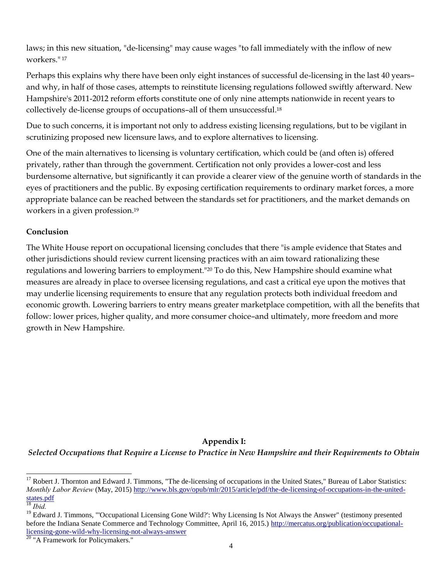laws; in this new situation, "de-licensing" may cause wages "to fall immediately with the inflow of new workers." <sup>17</sup>

Perhaps this explains why there have been only eight instances of successful de-licensing in the last 40 years– and why, in half of those cases, attempts to reinstitute licensing regulations followed swiftly afterward. New Hampshire's 2011-2012 reform efforts constitute one of only nine attempts nationwide in recent years to collectively de-license groups of occupations–all of them unsuccessful.<sup>18</sup>

Due to such concerns, it is important not only to address existing licensing regulations, but to be vigilant in scrutinizing proposed new licensure laws, and to explore alternatives to licensing.

One of the main alternatives to licensing is voluntary certification, which could be (and often is) offered privately, rather than through the government. Certification not only provides a lower-cost and less burdensome alternative, but significantly it can provide a clearer view of the genuine worth of standards in the eyes of practitioners and the public. By exposing certification requirements to ordinary market forces, a more appropriate balance can be reached between the standards set for practitioners, and the market demands on workers in a given profession.<sup>19</sup>

### **Conclusion**

The White House report on occupational licensing concludes that there "is ample evidence that States and other jurisdictions should review current licensing practices with an aim toward rationalizing these regulations and lowering barriers to employment."<sup>20</sup> To do this, New Hampshire should examine what measures are already in place to oversee licensing regulations, and cast a critical eye upon the motives that may underlie licensing requirements to ensure that any regulation protects both individual freedom and economic growth. Lowering barriers to entry means greater marketplace competition, with all the benefits that follow: lower prices, higher quality, and more consumer choice–and ultimately, more freedom and more growth in New Hampshire.

#### **Appendix I:**

*Selected Occupations that Require a License to Practice in New Hampshire and their Requirements to Obtain*

l

<sup>&</sup>lt;sup>17</sup> Robert J. Thornton and Edward J. Timmons, "The de-licensing of occupations in the United States," Bureau of Labor Statistics: *Monthly Labor Review* (May, 2015[\) http://www.bls.gov/opub/mlr/2015/article/pdf/the-de-licensing-of-occupations-in-the-united](http://www.bls.gov/opub/mlr/2015/article/pdf/the-de-licensing-of-occupations-in-the-united-states.pdf)[states.pdf](http://www.bls.gov/opub/mlr/2015/article/pdf/the-de-licensing-of-occupations-in-the-united-states.pdf)

<sup>18</sup> *Ibid.*

<sup>&</sup>lt;sup>19</sup> Edward J. Timmons, "'Occupational Licensing Gone Wild?': Why Licensing Is Not Always the Answer" (testimony presented before the Indiana Senate Commerce and Technology Committee, April 16, 2015.) [http://mercatus.org/publication/occupational](http://mercatus.org/publication/occupational-licensing-gone-wild-why-licensing-not-always-answer)[licensing-gone-wild-why-licensing-not-always-answer](http://mercatus.org/publication/occupational-licensing-gone-wild-why-licensing-not-always-answer)

<sup>&</sup>lt;sup>20</sup> "A Framework for Policymakers."